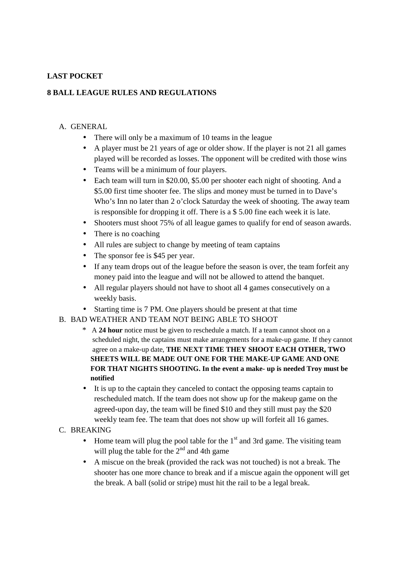# **LAST POCKET**

### **8 BALL LEAGUE RULES AND REGULATIONS**

#### A. GENERAL

- There will only be a maximum of 10 teams in the league
- A player must be 21 years of age or older show. If the player is not 21 all games played will be recorded as losses. The opponent will be credited with those wins
- Teams will be a minimum of four players.
- Each team will turn in \$20,00, \$5,00 per shooter each night of shooting. And a \$5.00 first time shooter fee. The slips and money must be turned in to Dave's Who's Inn no later than 2 o'clock Saturday the week of shooting. The away team is responsible for dropping it off. There is a \$ 5.00 fine each week it is late.
- Shooters must shoot 75% of all league games to qualify for end of season awards.
- There is no coaching
- All rules are subject to change by meeting of team captains
- The sponsor fee is \$45 per year.
- If any team drops out of the league before the season is over, the team forfeit any money paid into the league and will not be allowed to attend the banquet.
- All regular players should not have to shoot all 4 games consecutively on a weekly basis.
- Starting time is 7 PM. One players should be present at that time

## B. BAD WEATHER AND TEAM NOT BEING ABLE TO SHOOT

- \* A **24 hour** notice must be given to reschedule a match. If a team cannot shoot on a scheduled night, the captains must make arrangements for a make-up game. If they cannot agree on a make-up date, **THE NEXT TIME THEY SHOOT EACH OTHER, TWO SHEETS WILL BE MADE OUT ONE FOR THE MAKE-UP GAME AND ONE FOR THAT NIGHTS SHOOTING. In the event a make- up is needed Troy must be notified**
- It is up to the captain they canceled to contact the opposing teams captain to rescheduled match. If the team does not show up for the makeup game on the agreed-upon day, the team will be fined \$10 and they still must pay the \$20 weekly team fee. The team that does not show up will forfeit all 16 games.

#### C. BREAKING

- Home team will plug the pool table for the  $1<sup>st</sup>$  and 3rd game. The visiting team will plug the table for the  $2<sup>nd</sup>$  and 4th game
- A miscue on the break (provided the rack was not touched) is not a break. The shooter has one more chance to break and if a miscue again the opponent will get the break. A ball (solid or stripe) must hit the rail to be a legal break.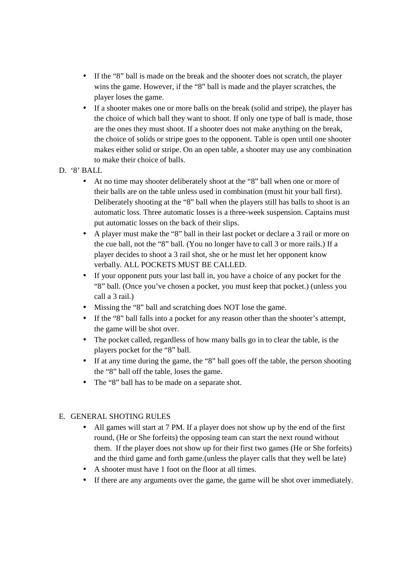- If the "8" ball is made on the break and the shooter does not scratch, the player wins the game. However, if the "8" ball is made and the player scratches, the player loses the game.
- If a shooter makes one or more balls on the break (solid and stripe), the player has the choice of which ball they want to shoot. If only one type of ball is made, those are the ones they must shoot. If a shooter does not make anything on the break, the choice of solids or stripe goes to the opponent. Table is open until one shooter makes either solid or stripe. On an open table, a shooter may use any combination to make their choice of balls.
- D. '8' BALL
	- At no time may shooter deliberately shoot at the "8" ball when one or more of their balls are on the table unless used in combination (must hit your ball first). Deliberately shooting at the "8" ball when the players still has balls to shoot is an automatic loss. Three automatic losses is a three-week suspension. Captains must put automatic losses on the back of their slips.
	- A player must make the "8" ball in their last pocket or declare a 3 rail or more on the cue ball, not the "8" ball. (You no longer have to call 3 or more rails.) If a player decides to shoot a 3 rail shot, she or he must let her opponent know verbally. ALL POCKETS MUST BE CALLED.
	- If your opponent puts your last ball in, you have a choice of any pocket for the "8" ball. (Once you've chosen a pocket, you must keep that pocket.) (unless you call a 3 rail.)
	- Missing the "8" ball and scratching does NOT lose the game.
	- If the "8" ball falls into a pocket for any reason other than the shooter's attempt, the game will be shot over.
	- The pocket called, regardless of how many balls go in to clear the table, is the players pocket for the "8" ball.
	- If at any time during the game, the "8" ball goes off the table, the person shooting the "8" ball off the table, loses the game.
	- The "8" ball has to be made on a separate shot.

## E. GENERAL SHOTING RULES

- All games will start at 7 PM. If a player does not show up by the end of the first round, (He or She forfeits) the opposing team can start the next round without them. If the player does not show up for their first two games (He or She forfeits) and the third game and forth game.(unless the player calls that they well be late)
- A shooter must have 1 foot on the floor at all times.
- If there are any arguments over the game, the game will be shot over immediately.